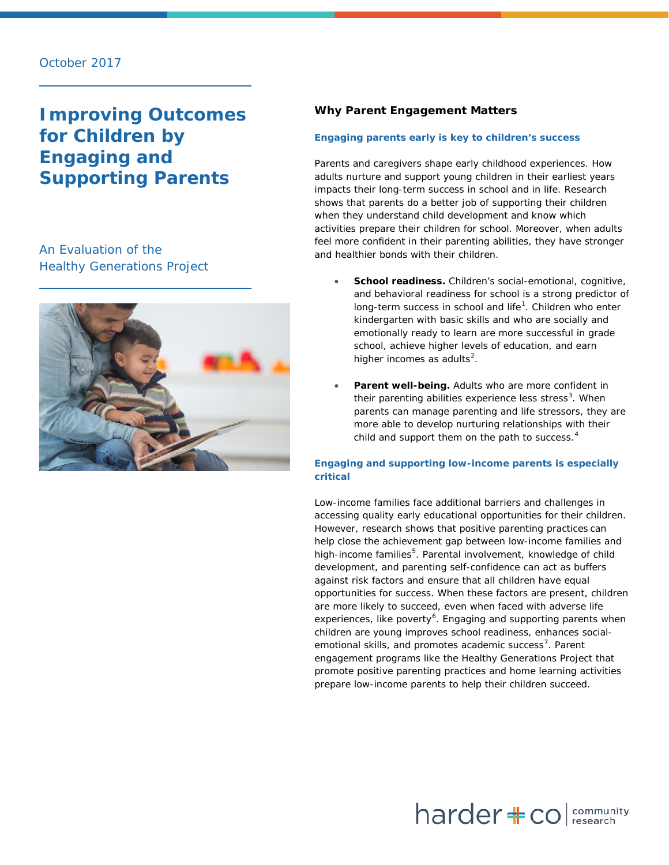# **Improving Outcomes for Children by Engaging and Supporting Parents**

## An Evaluation of the Healthy Generations Project



## **Why Parent Engagement Matters**

## **Engaging parents early is key to children's success**

Parents and caregivers shape early childhood experiences. How adults nurture and support young children in their earliest years impacts their long-term success in school and in life. Research shows that parents do a better job of supporting their children when they understand child development and know which activities prepare their children for school. Moreover, when adults feel more confident in their parenting abilities, they have stronger and healthier bonds with their children.

- **School readiness.** Children's social-emotional, cognitive, and behavioral readiness for school is a strong predictor of long-term success in school and life<sup>[1](#page-10-0)</sup>. Children who enter kindergarten with basic skills and who are socially and emotionally ready to learn are more successful in grade school, achieve higher levels of education, and earn higher incomes as adults<sup>[2](#page-10-1)</sup>.
- Parent well-being. Adults who are more confident in their parenting abilities experience less stress<sup>[3](#page-10-2)</sup>. When parents can manage parenting and life stressors, they are more able to develop nurturing relationships with their child and support them on the path to success.<sup>[4](#page-10-3)</sup>

## **Engaging and supporting low-income parents is especially critical**

Low-income families face additional barriers and challenges in accessing quality early educational opportunities for their children. However, research shows that positive parenting practices can help close the achievement gap between low-income families and high-income families<sup>[5](#page-10-4)</sup>. Parental involvement, knowledge of child development, and parenting self-confidence can act as buffers against risk factors and ensure that all children have equal opportunities for success. When these factors are present, children are more likely to succeed, even when faced with adverse life experiences, like poverty<sup>[6](#page-10-5)</sup>. Engaging and supporting parents when children are young improves school readiness, enhances social-emotional skills, and promotes academic success<sup>[7](#page-10-6)</sup>. Parent engagement programs like the Healthy Generations Project that promote positive parenting practices and home learning activities prepare low-income parents to help their children succeed.

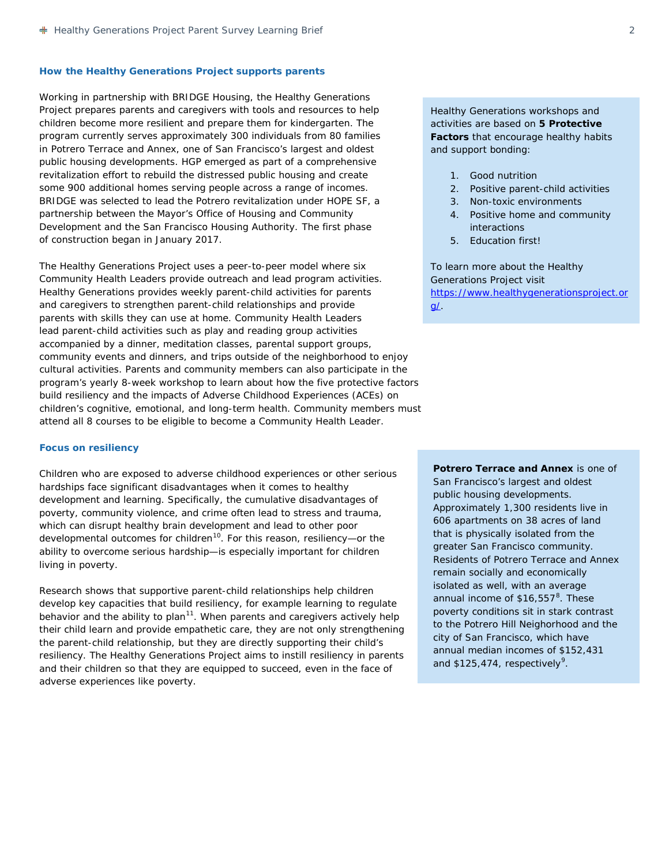#### **How the Healthy Generations Project supports parents**

Working in partnership with BRIDGE Housing, the Healthy Generations Project prepares parents and caregivers with tools and resources to help children become more resilient and prepare them for kindergarten. The program currently serves approximately 300 individuals from 80 families in Potrero Terrace and Annex, one of San Francisco's largest and oldest public housing developments. HGP emerged as part of a comprehensive revitalization effort to rebuild the distressed public housing and create some 900 additional homes serving people across a range of incomes. BRIDGE was selected to lead the Potrero revitalization under HOPE SF, a partnership between the Mayor's Office of Housing and Community Development and the San Francisco Housing Authority. The first phase of construction began in January 2017.

The Healthy Generations Project uses a peer-to-peer model where six Community Health Leaders provide outreach and lead program activities. Healthy Generations provides weekly parent-child activities for parents and caregivers to strengthen parent-child relationships and provide parents with skills they can use at home. Community Health Leaders lead parent-child activities such as play and reading group activities accompanied by a dinner, meditation classes, parental support groups, community events and dinners, and trips outside of the neighborhood to enjoy cultural activities. Parents and community members can also participate in the program's yearly 8-week workshop to learn about how the five protective factors build resiliency and the impacts of Adverse Childhood Experiences (ACEs) on children's cognitive, emotional, and long-term health. Community members must attend all 8 courses to be eligible to become a Community Health Leader.

#### **Focus on resiliency**

Children who are exposed to adverse childhood experiences or other serious hardships face significant disadvantages when it comes to healthy development and learning. Specifically, the cumulative disadvantages of poverty, community violence, and crime often lead to stress and trauma, which can disrupt healthy brain development and lead to other poor developmental outcomes for children<sup>[10](#page-10-7)</sup>. For this reason, resiliency-or the ability to overcome serious hardship—is especially important for children living in poverty.

Research shows that supportive parent-child relationships help children develop key capacities that build resiliency, for example learning to regulate behavior and the ability to plan<sup>[11](#page-10-8)</sup>. When parents and caregivers actively help their child learn and provide empathetic care, they are not only strengthening the parent-child relationship, but they are directly supporting their child's resiliency. The Healthy Generations Project aims to instill resiliency in parents and their children so that they are equipped to succeed, even in the face of adverse experiences like poverty.

Healthy Generations workshops and activities are based on **5 Protective Factors** that encourage healthy habits and support bonding:

- 1. Good nutrition
- 2. Positive parent-child activities
- 3. Non-toxic environments
- 4. Positive home and community interactions
- 5. Education first!

To learn more about the Healthy Generations Project visit [https://www.healthygenerationsproject.or](https://www.healthygenerationsproject.org/) [g/.](https://www.healthygenerationsproject.org/)

**Potrero Terrace and Annex** is one of San Francisco's largest and oldest public housing developments. Approximately 1,300 residents live in 606 apartments on 38 acres of land that is physically isolated from the greater San Francisco community. Residents of Potrero Terrace and Annex remain socially and economically isolated as well, with an average annual income of \$16,557<sup>[8](#page-10-9)</sup>. These poverty conditions sit in stark contrast to the Potrero Hill Neighorhood and the city of San Francisco, which have annual median incomes of \$152,431 and  $$125,474$ , respectively<sup>[9](#page-10-10)</sup>.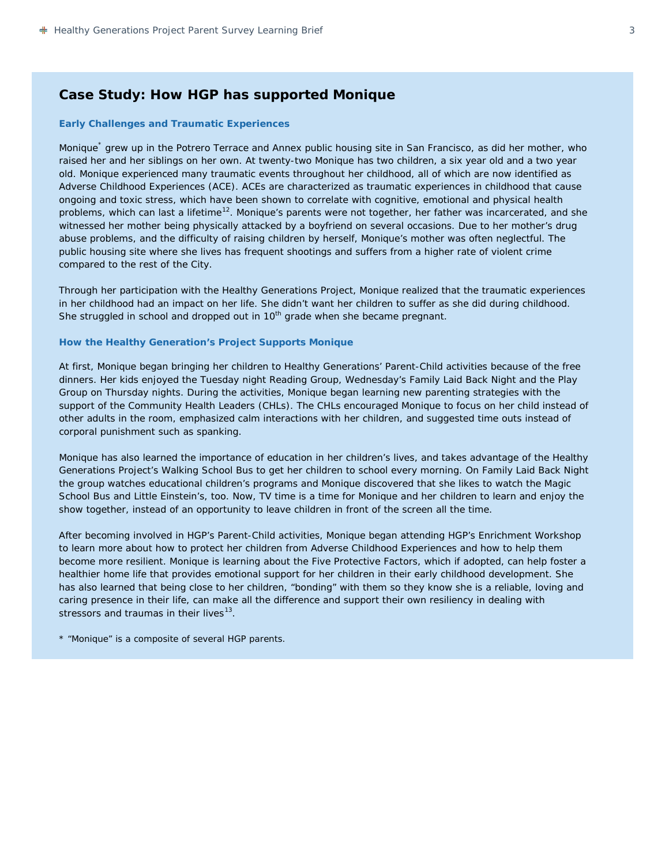## **Case Study: How HGP has supported Monique**

#### **Early Challenges and Traumatic Experiences**

Monique\* grew up in the Potrero Terrace and Annex public housing site in San Francisco, as did her mother, who raised her and her siblings on her own. At twenty-two Monique has two children, a six year old and a two year old. Monique experienced many traumatic events throughout her childhood, all of which are now identified as Adverse Childhood Experiences (ACE). ACEs are characterized as traumatic experiences in childhood that cause ongoing and toxic stress, which have been shown to correlate with cognitive, emotional and physical health problems, which can last a lifetime<sup>[12](#page-10-11)</sup>. Monique's parents were not together, her father was incarcerated, and she witnessed her mother being physically attacked by a boyfriend on several occasions. Due to her mother's drug abuse problems, and the difficulty of raising children by herself, Monique's mother was often neglectful. The public housing site where she lives has frequent shootings and suffers from a higher rate of violent crime compared to the rest of the City.

Through her participation with the Healthy Generations Project, Monique realized that the traumatic experiences in her childhood had an impact on her life. She didn't want her children to suffer as she did during childhood. She struggled in school and dropped out in  $10<sup>th</sup>$  grade when she became pregnant.

## **How the Healthy Generation's Project Supports Monique**

At first, Monique began bringing her children to Healthy Generations' Parent-Child activities because of the free dinners. Her kids enjoyed the Tuesday night Reading Group, Wednesday's Family Laid Back Night and the Play Group on Thursday nights. During the activities, Monique began learning new parenting strategies with the support of the Community Health Leaders (CHLs). The CHLs encouraged Monique to focus on her child instead of other adults in the room, emphasized calm interactions with her children, and suggested time outs instead of corporal punishment such as spanking.

Monique has also learned the importance of education in her children's lives, and takes advantage of the Healthy Generations Project's Walking School Bus to get her children to school every morning. On Family Laid Back Night the group watches educational children's programs and Monique discovered that she likes to watch the Magic School Bus and Little Einstein's, too. Now, TV time is a time for Monique and her children to learn and enjoy the show together, instead of an opportunity to leave children in front of the screen all the time.

After becoming involved in HGP's Parent-Child activities, Monique began attending HGP's Enrichment Workshop to learn more about how to protect her children from Adverse Childhood Experiences and how to help them become more resilient. Monique is learning about the Five Protective Factors, which if adopted, can help foster a healthier home life that provides emotional support for her children in their early childhood development. She has also learned that being close to her children, "bonding" with them so they know she is a reliable, loving and caring presence in their life, can make all the difference and support their own resiliency in dealing with stressors and traumas in their lives $^{13}$ .

*\* "Monique" is a composite of several HGP parents.*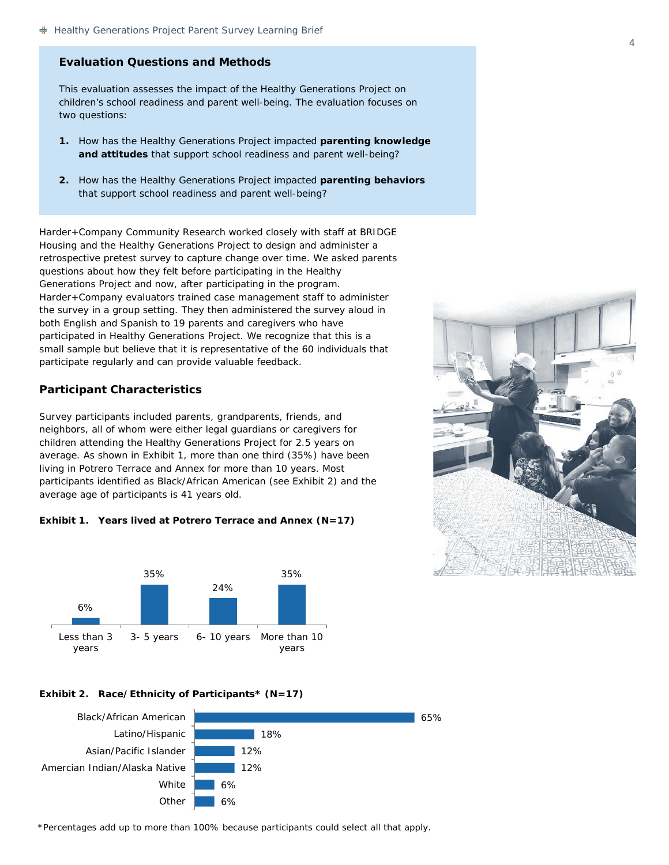## **Evaluation Questions and Methods**

This evaluation assesses the impact of the Healthy Generations Project on children's school readiness and parent well-being. The evaluation focuses on two questions:

- **1.** How has the Healthy Generations Project impacted **parenting knowledge and attitudes** that support school readiness and parent well-being?
- **2.** How has the Healthy Generations Project impacted **parenting behaviors** that support school readiness and parent well-being?

Harder+Company Community Research worked closely with staff at BRIDGE Housing and the Healthy Generations Project to design and administer a retrospective pretest survey to capture change over time. We asked parents questions about how they felt *before* participating in the Healthy Generations Project and *now*, after participating in the program. Harder+Company evaluators trained case management staff to administer the survey in a group setting. They then administered the survey aloud in both English and Spanish to 19 parents and caregivers who have participated in Healthy Generations Project. We recognize that this is a small sample but believe that it is representative of the 60 individuals that participate regularly and can provide valuable feedback.

## **Participant Characteristics**

Survey participants included parents, grandparents, friends, and neighbors, all of whom were either legal guardians or caregivers for children attending the Healthy Generations Project for 2.5 years on average. As shown in Exhibit 1, more than one third (35%) have been living in Potrero Terrace and Annex for more than 10 years. Most participants identified as Black/African American (see Exhibit 2) and the average age of participants is 41 years old.





#### **Exhibit 2. Race/Ethnicity of Participants\* (N=17)**



\*Percentages add up to more than 100% because participants could select all that apply.

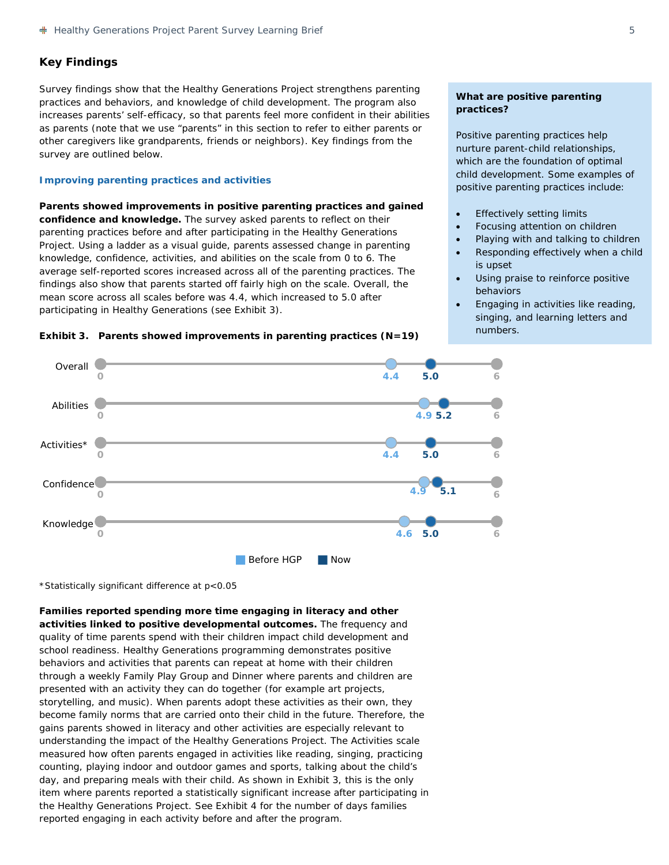## **Key Findings**

Survey findings show that the Healthy Generations Project strengthens parenting practices and behaviors, and knowledge of child development. The program also increases parents' self-efficacy, so that parents feel more confident in their abilities as parents (note that we use "parents" in this section to refer to either parents or other caregivers like grandparents, friends or neighbors). Key findings from the survey are outlined below.

#### **Improving parenting practices and activities**

**Parents showed improvements in positive parenting practices and gained confidence and knowledge.** The survey asked parents to reflect on their parenting practices before and after participating in the Healthy Generations Project. Using a ladder as a visual guide, parents assessed change in parenting knowledge, confidence, activities, and abilities on the scale from 0 to 6. The average self-reported scores increased across all of the parenting practices. The findings also show that parents started off fairly high on the scale. Overall, the mean score across all scales before was 4.4, which increased to 5.0 after participating in Healthy Generations (see Exhibit 3).



## **What are positive parenting practices?**

Positive parenting practices help nurture parent-child relationships, which are the foundation of optimal child development. Some examples of positive parenting practices include:

- **Effectively setting limits**
- Focusing attention on children
- Playing with and talking to children
- Responding effectively when a child is upset
- Using praise to reinforce positive behaviors
- Engaging in activities like reading, singing, and learning letters and numbers.



\*Statistically significant difference at *p*<0.05

**Families reported spending more time engaging in literacy and other activities linked to positive developmental outcomes.** The frequency and quality of time parents spend with their children impact child development and school readiness. Healthy Generations programming demonstrates positive behaviors and activities that parents can repeat at home with their children through a weekly Family Play Group and Dinner where parents and children are presented with an activity they can do together (for example art projects, storytelling, and music). When parents adopt these activities as their own, they become family norms that are carried onto their child in the future. Therefore, the gains parents showed in literacy and other activities are especially relevant to understanding the impact of the Healthy Generations Project. The *Activities* scale measured how often parents engaged in activities like reading, singing, practicing counting, playing indoor and outdoor games and sports, talking about the child's day, and preparing meals with their child. As shown in Exhibit 3, this is the only item where parents reported a statistically significant increase after participating in the Healthy Generations Project. See Exhibit 4 for the number of days families reported engaging in each activity before and after the program.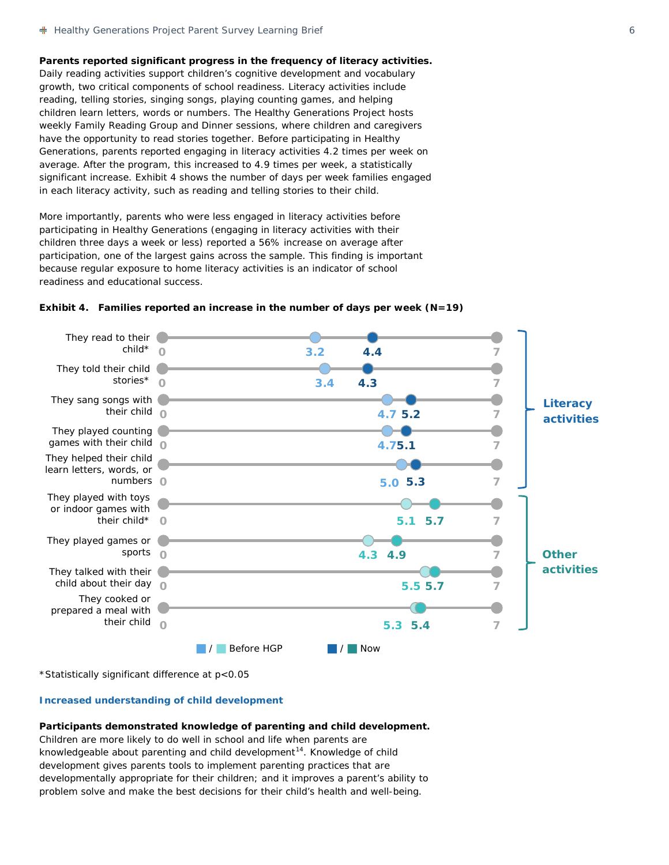**Parents reported significant progress in the frequency of literacy activities.** Daily reading activities support children's cognitive development and vocabulary growth, two critical components of school readiness. Literacy activities include reading, telling stories, singing songs, playing counting games, and helping children learn letters, words or numbers. The Healthy Generations Project hosts weekly Family Reading Group and Dinner sessions, where children and caregivers have the opportunity to read stories together. Before participating in Healthy Generations, parents reported engaging in literacy activities 4.2 times per week on average. After the program, this increased to 4.9 times per week, a statistically significant increase. Exhibit 4 shows the number of days per week families engaged in each literacy activity, such as reading and telling stories to their child.

More importantly, parents who were less engaged in literacy activities before participating in Healthy Generations (engaging in literacy activities with their children three days a week or less) reported a 56% increase on average after participation, one of the largest gains across the sample. This finding is important because regular exposure to home literacy activities is an indicator of school readiness and educational success.



## **Exhibit 4. Families reported an increase in the number of days per week (N=19)**

\*Statistically significant difference at p<0.05

#### **Increased understanding of child development**

#### **Participants demonstrated knowledge of parenting and child development.**

Children are more likely to do well in school and life when parents are knowledgeable about parenting and child development<sup>14</sup>. Knowledge of child development gives parents tools to implement parenting practices that are developmentally appropriate for their children; and it improves a parent's ability to problem solve and make the best decisions for their child's health and well-being.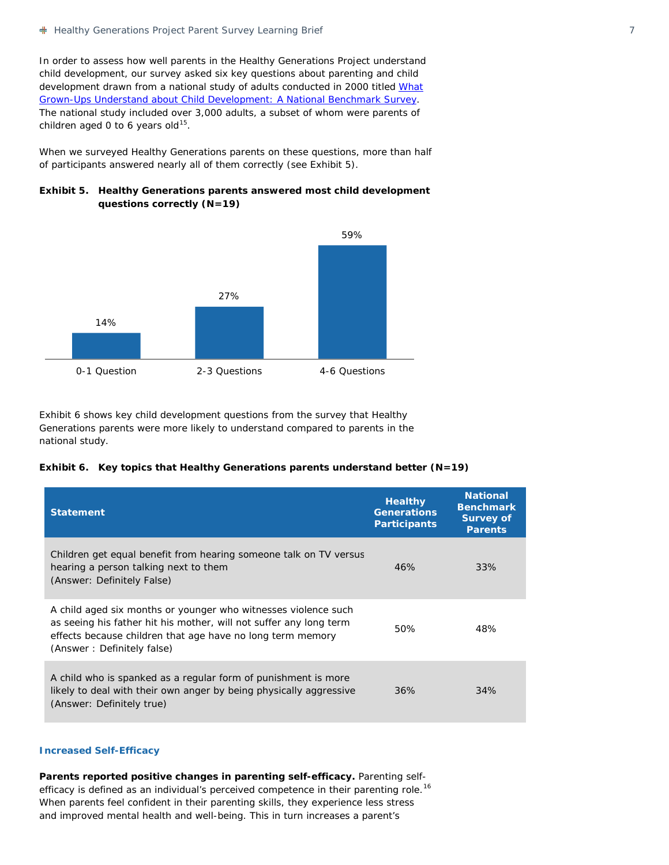In order to assess how well parents in the Healthy Generations Project understand child development, our survey asked six key questions about parenting and child development drawn from a national study of adults conducted in 2000 titled *What Grown-Ups Understand about Child Development: A National Benchmark Survey*. The national study included over 3,000 adults, a subset of whom were parents of children aged 0 to 6 years old $^{15}$  $^{15}$  $^{15}$ .

When we surveyed Healthy Generations parents on these questions, more than half of participants answered nearly all of them correctly (see Exhibit 5).





Exhibit 6 shows key child development questions from the survey that Healthy Generations parents were more likely to understand compared to parents in the national study.

|  |  |  |  |  | Exhibit 6. Key topics that Healthy Generations parents understand better (N=19) |  |  |
|--|--|--|--|--|---------------------------------------------------------------------------------|--|--|
|--|--|--|--|--|---------------------------------------------------------------------------------|--|--|

| <b>Statement</b>                                                                                                                                                                                                                 | <b>Healthy</b><br><b>Generations</b><br><b>Participants</b> | <b>National</b><br><b>Benchmark</b><br><b>Survey of</b><br><b>Parents</b> |
|----------------------------------------------------------------------------------------------------------------------------------------------------------------------------------------------------------------------------------|-------------------------------------------------------------|---------------------------------------------------------------------------|
| Children get equal benefit from hearing someone talk on TV versus<br>hearing a person talking next to them<br>(Answer: Definitely False)                                                                                         | 46%                                                         | 33%                                                                       |
| A child aged six months or younger who witnesses violence such<br>as seeing his father hit his mother, will not suffer any long term<br>effects because children that age have no long term memory<br>(Answer: Definitely false) | 50%                                                         | 48%                                                                       |
| A child who is spanked as a regular form of punishment is more<br>likely to deal with their own anger by being physically aggressive<br>(Answer: Definitely true)                                                                | 36%                                                         | 34%                                                                       |

#### **Increased Self-Efficacy**

**Parents reported positive changes in parenting self-efficacy.** Parenting self-efficacy is defined as an individual's perceived competence in their parenting role.<sup>[16](#page-10-15)</sup> When parents feel confident in their parenting skills, they experience less stress and improved mental health and well-being. This in turn increases a parent's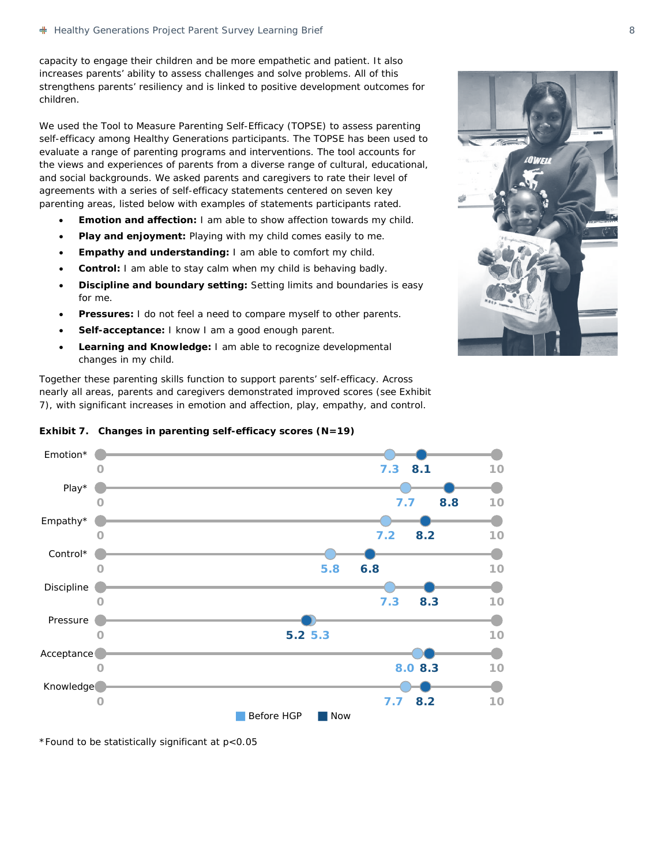capacity to engage their children and be more empathetic and patient. It also increases parents' ability to assess challenges and solve problems. All of this strengthens parents' resiliency and is linked to positive development outcomes for children.

We used the *Tool to Measure Parenting Self-Efficacy* (TOPSE) to assess parenting self-efficacy among Healthy Generations participants. The TOPSE has been used to evaluate a range of parenting programs and interventions. The tool accounts for the views and experiences of parents from a diverse range of cultural, educational, and social backgrounds. We asked parents and caregivers to rate their level of agreements with a series of self-efficacy statements centered on seven key parenting areas, listed below with examples of statements participants rated.

- **Emotion and affection:** *I am able to show affection towards my child.*
- **Play and enjoyment:** *Playing with my child comes easily to me.*
- **Empathy and understanding:** *I am able to comfort my child.*
- **Control:** *I am able to stay calm when my child is behaving badly.*
- **Discipline and boundary setting:** *Setting limits and boundaries is easy for me.*
- **Pressures:** *I do not feel a need to compare myself to other parents.*
- **Self-acceptance:** *I know I am a good enough parent.*
- **Learning and Knowledge:** *I am able to recognize developmental changes in my child.*

Together these parenting skills function to support parents' self-efficacy. Across nearly all areas, parents and caregivers demonstrated improved scores (see Exhibit 7), with significant increases in emotion and affection, play, empathy, and control.



## **Exhibit 7. Changes in parenting self-efficacy scores (N=19)**

\*Found to be statistically significant at p<0.05

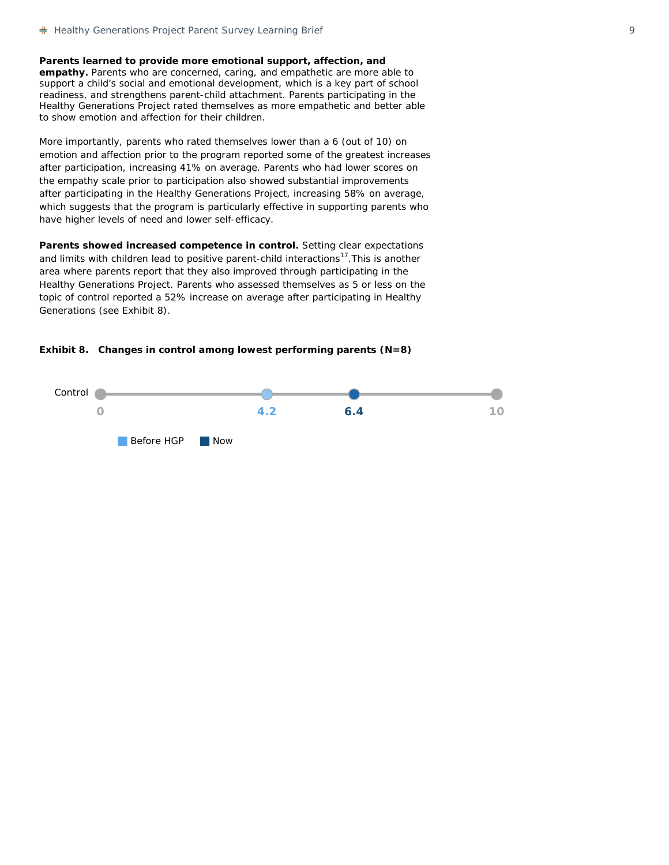**Parents learned to provide more emotional support, affection, and empathy.** Parents who are concerned, caring, and empathetic are more able to support a child's social and emotional development, which is a key part of school readiness, and strengthens parent-child attachment. Parents participating in the Healthy Generations Project rated themselves as more empathetic and better able to show emotion and affection for their children.

More importantly, parents who rated themselves lower than a 6 (out of 10) on emotion and affection prior to the program reported some of the greatest increases after participation, increasing 41% on average. Parents who had lower scores on the empathy scale prior to participation also showed substantial improvements after participating in the Healthy Generations Project, increasing 58% on average, which suggests that the program is particularly effective in supporting parents who have higher levels of need and lower self-efficacy.

Parents showed increased competence in control. Setting clear expectations and limits with children lead to positive parent-child interactions<sup>17</sup>. This is another area where parents report that they also improved through participating in the Healthy Generations Project. Parents who assessed themselves as 5 or less on the topic of control reported a 52% increase on average after participating in Healthy Generations (see Exhibit 8).



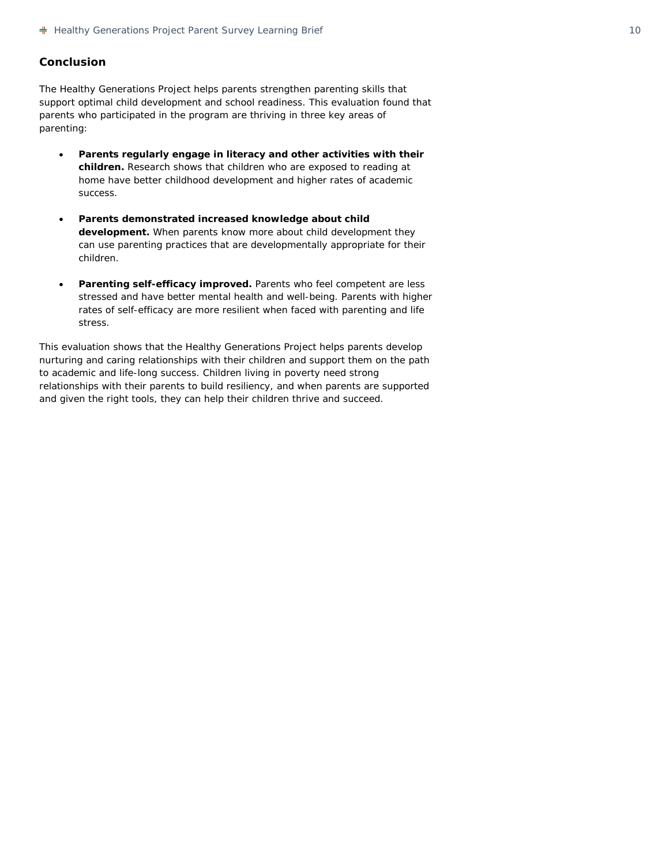## **Conclusion**

The Healthy Generations Project helps parents strengthen parenting skills that support optimal child development and school readiness. This evaluation found that parents who participated in the program are thriving in three key areas of parenting:

- **Parents regularly engage in literacy and other activities with their children.** Research shows that children who are exposed to reading at home have better childhood development and higher rates of academic success.
- **Parents demonstrated increased knowledge about child development.** When parents know more about child development they can use parenting practices that are developmentally appropriate for their children.
- **Parenting self-efficacy improved.** Parents who feel competent are less stressed and have better mental health and well-being. Parents with higher rates of self-efficacy are more resilient when faced with parenting and life stress.

This evaluation shows that the Healthy Generations Project helps parents develop nurturing and caring relationships with their children and support them on the path to academic and life-long success. Children living in poverty need strong relationships with their parents to build resiliency, and when parents are supported and given the right tools, they can help their children thrive and succeed.